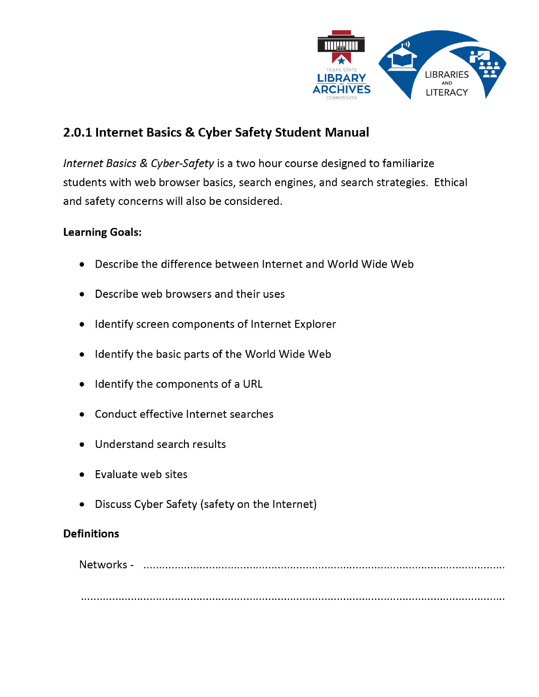

# 2.0.1 Internet Basics & Cyber Safety Student Manual

Internet Basics & Cyber-Safety is a two hour course designed to familiarize students with web browser basics, search engines, and search strategies. Ethical and safety concerns will also be considered.

#### **Learning Goals:**

- Describe the difference between Internet and World Wide Web
- Describe web browsers and their uses
- Identify screen components of Internet Explorer
- Identify the basic parts of the World Wide Web
- Identify the components of a URL
- Conduct effective Internet searches
- Understand search results
- Evaluate web sites
- Discuss Cyber Safety (safety on the Internet)  $\bullet$

#### **Definitions**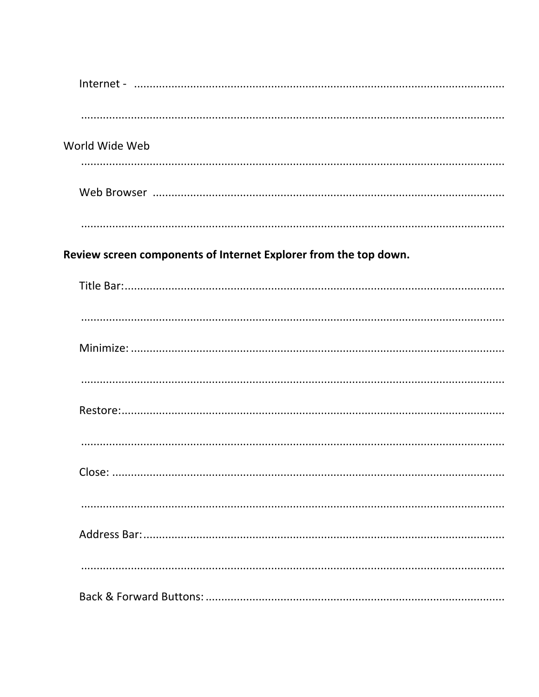| World Wide Web |                                                                  |
|----------------|------------------------------------------------------------------|
|                |                                                                  |
|                |                                                                  |
|                |                                                                  |
|                | Review screen components of Internet Explorer from the top down. |
|                |                                                                  |
|                |                                                                  |
|                |                                                                  |
|                |                                                                  |
|                |                                                                  |
|                |                                                                  |
|                |                                                                  |
|                |                                                                  |
|                |                                                                  |
|                |                                                                  |
|                |                                                                  |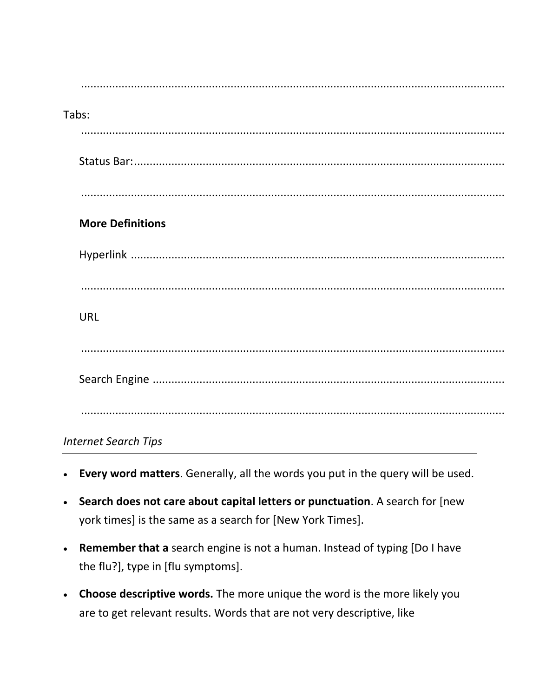| Tabs:                       |
|-----------------------------|
|                             |
|                             |
|                             |
| <b>More Definitions</b>     |
|                             |
|                             |
| <b>URL</b>                  |
|                             |
|                             |
|                             |
| <b>Internet Search Tips</b> |

- Every word matters. Generally, all the words you put in the query will be used.  $\bullet$
- Search does not care about capital letters or punctuation. A search for [new york times] is the same as a search for [New York Times].
- Remember that a search engine is not a human. Instead of typing [Do I have the flu?], type in [flu symptoms].
- Choose descriptive words. The more unique the word is the more likely you are to get relevant results. Words that are not very descriptive, like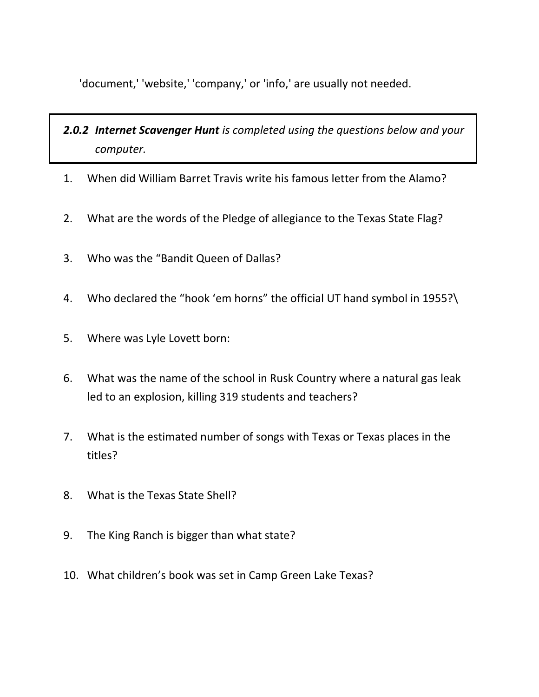'document,' 'website,' 'company,' or 'info,' are usually not needed.

# *2.0.2 Internet Scavenger Hunt is completed using the questions below and your computer.*

- 1. When did William Barret Travis write his famous letter from the Alamo?
- 2. What are the words of the Pledge of allegiance to the Texas State Flag?
- 3. Who was the "Bandit Queen of Dallas?
- 4. Who declared the "hook 'em horns" the official UT hand symbol in 1955?\
- 5. Where was Lyle Lovett born:
- 6. What was the name of the school in Rusk Country where a natural gas leak led to an explosion, killing 319 students and teachers?
- 7. What is the estimated number of songs with Texas or Texas places in the titles?
- 8. What is the Texas State Shell?
- 9. The King Ranch is bigger than what state?
- 10. What children's book was set in Camp Green Lake Texas?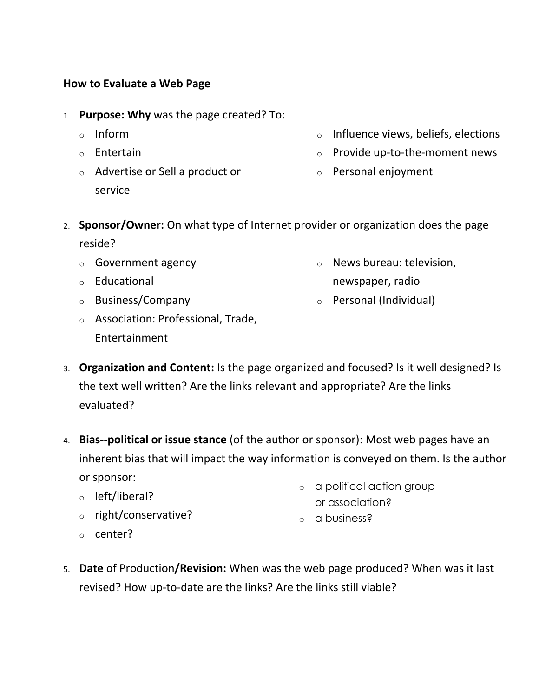#### **How to Evaluate a Web Page**

- 1. **Purpose: Why** was the page created? To:
	- o Inform
	- o Entertain
	- o Advertise or Sell a product or service
- o Influence views, beliefs, elections
- o Provide up-to-the-moment news
- o Personal enjoyment
- 2. **Sponsor/Owner:** On what type of Internet provider or organization does the page reside?
	- o Government agency
	- o Educational
	- o Business/Company
- o News bureau: television, newspaper, radio
- o Personal (Individual)
- o Association: Professional, Trade, Entertainment
- 3. **Organization and Content:** Is the page organized and focused? Is it well designed? Is the text well written? Are the links relevant and appropriate? Are the links evaluated?
- 4. **Bias--political or issue stance** (of the author or sponsor): Most web pages have an inherent bias that will impact the way information is conveyed on them. Is the author or sponsor:
	- o left/liberal?
	- o right/conservative?
	- o center?
- 5. **Date** of Production**/Revision:** When was the web page produced? When was it last revised? How up-to-date are the links? Are the links still viable?
- o a political action group or association?
- o a business?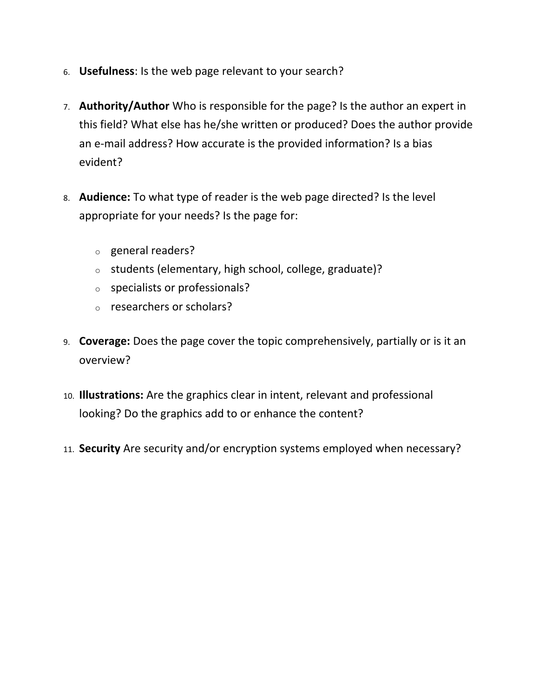- 6. **Usefulness**: Is the web page relevant to your search?
- 7. **Authority/Author** Who is responsible for the page? Is the author an expert in this field? What else has he/she written or produced? Does the author provide an e-mail address? How accurate is the provided information? Is a bias evident?
- 8. **Audience:** To what type of reader is the web page directed? Is the level appropriate for your needs? Is the page for:
	- o general readers?
	- o students (elementary, high school, college, graduate)?
	- o specialists or professionals?
	- o researchers or scholars?
- 9. **Coverage:** Does the page cover the topic comprehensively, partially or is it an overview?
- 10. **Illustrations:** Are the graphics clear in intent, relevant and professional looking? Do the graphics add to or enhance the content?
- 11. **Security** Are security and/or encryption systems employed when necessary?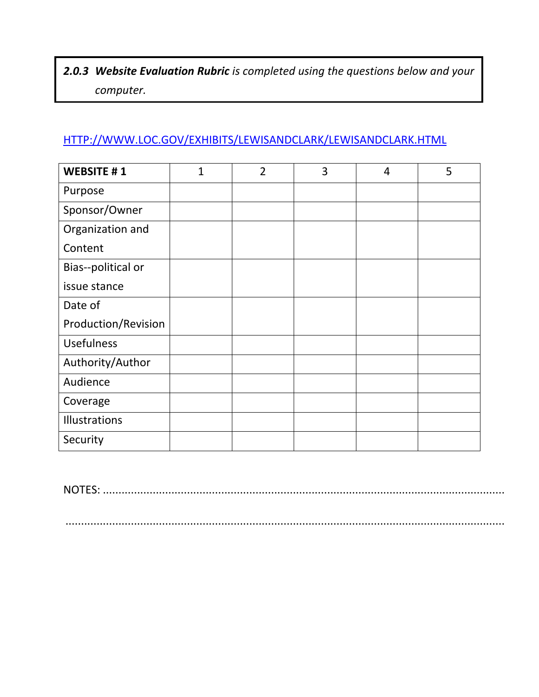# *2.0.3 Website Evaluation Rubric is completed using the questions below and your computer.*

# [HTTP://WWW.LOC.GOV/EXHIBITS/LEWISANDCLARK/LEWISANDCLARK.HTML](http://www.loc.gov/exhibits/lewisandclark/lewisandclark.html)

| <b>WEBSITE #1</b>    | $\mathbf{1}$ | $\overline{2}$ | 3 | $\overline{4}$ | 5 |
|----------------------|--------------|----------------|---|----------------|---|
| Purpose              |              |                |   |                |   |
| Sponsor/Owner        |              |                |   |                |   |
| Organization and     |              |                |   |                |   |
| Content              |              |                |   |                |   |
| Bias--political or   |              |                |   |                |   |
| issue stance         |              |                |   |                |   |
| Date of              |              |                |   |                |   |
| Production/Revision  |              |                |   |                |   |
| <b>Usefulness</b>    |              |                |   |                |   |
| Authority/Author     |              |                |   |                |   |
| Audience             |              |                |   |                |   |
| Coverage             |              |                |   |                |   |
| <b>Illustrations</b> |              |                |   |                |   |
| Security             |              |                |   |                |   |

NOTES: .................................................................................................................................

.............................................................................................................................................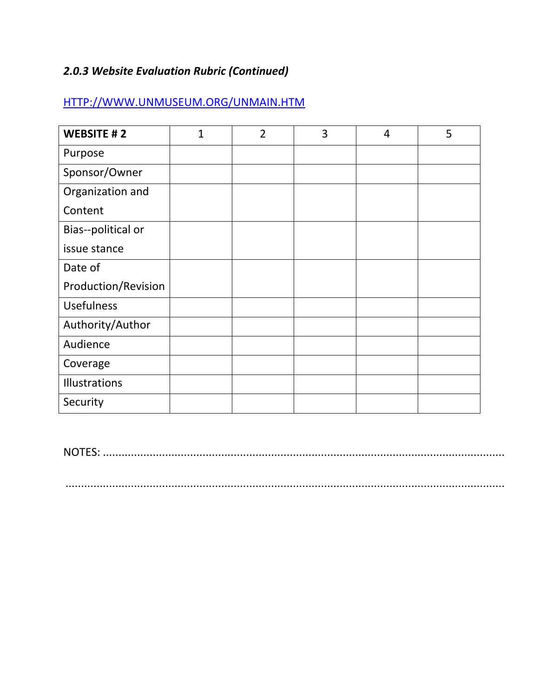## *2.0.3 Website Evaluation Rubric (Continued)*

## [HTTP://WWW.UNMUSEUM.ORG/UNMAIN.HTM](http://www.unmuseum.org/unmain.htm)

| <b>WEBSITE #2</b>   | $\overline{1}$ | $\overline{2}$ | 3 | $\overline{4}$ | 5 |
|---------------------|----------------|----------------|---|----------------|---|
| Purpose             |                |                |   |                |   |
| Sponsor/Owner       |                |                |   |                |   |
| Organization and    |                |                |   |                |   |
| Content             |                |                |   |                |   |
| Bias--political or  |                |                |   |                |   |
| issue stance        |                |                |   |                |   |
| Date of             |                |                |   |                |   |
| Production/Revision |                |                |   |                |   |
| <b>Usefulness</b>   |                |                |   |                |   |
| Authority/Author    |                |                |   |                |   |
| Audience            |                |                |   |                |   |
| Coverage            |                |                |   |                |   |
| Illustrations       |                |                |   |                |   |
| Security            |                |                |   |                |   |

NOTES: .................................................................................................................................

.............................................................................................................................................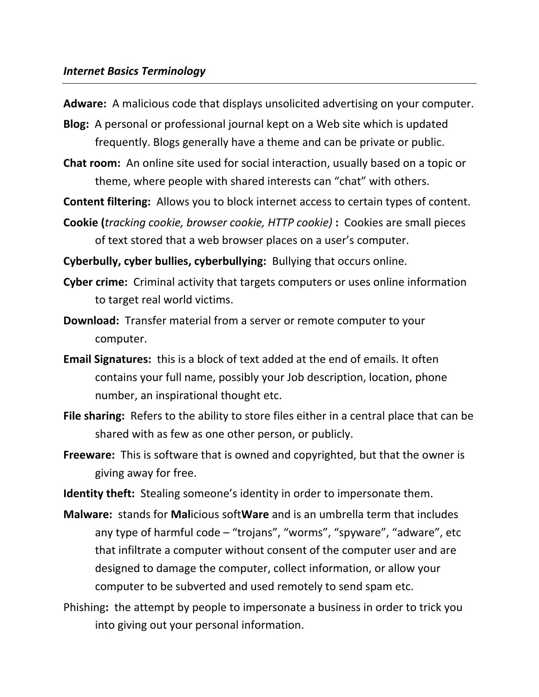#### *Internet Basics Terminology*

**Adware:** A malicious code that displays unsolicited advertising on your computer.

- **Blog:** A personal or professional journal kept on a Web site which is updated frequently. Blogs generally have a theme and can be private or public.
- **Chat room:** An online site used for social interaction, usually based on a topic or theme, where people with shared interests can "chat" with others.

**Content filtering:** Allows you to block internet access to certain types of content.

**Cookie (***tracking cookie, browser cookie, HTTP cookie)* **:** Cookies are small pieces of text stored that a web browser places on a user's computer.

**Cyberbully, cyber bullies, cyberbullying:** Bullying that occurs online.

- **Cyber crime:** Criminal activity that targets computers or uses online information to target real world victims.
- **Download:** Transfer material from a server or remote computer to your computer.
- **Email Signatures:** this is a block of text added at the end of emails. It often contains your full name, possibly your Job description, location, phone number, an inspirational thought etc.
- **File sharing:** Refers to the ability to store files either in a central place that can be shared with as few as one other person, or publicly.
- **Freeware:** This is software that is owned and copyrighted, but that the owner is giving away for free.

**Identity theft:** Stealing someone's identity in order to impersonate them.

**Malware:** stands for **Mal**icious soft**Ware** and is an umbrella term that includes any type of harmful code – "trojans", "worms", "spyware", "adware", etc that infiltrate a computer without consent of the computer user and are designed to damage the computer, collect information, or allow your computer to be subverted and used remotely to send spam etc.

Phishing**:** the attempt by people to impersonate a business in order to trick you into giving out your personal information.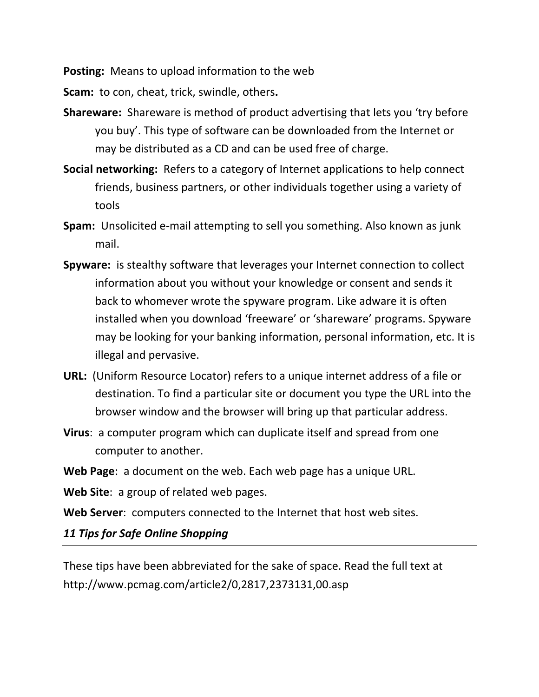**Posting:** Means to upload information to the web

**Scam:** to con, cheat, trick, swindle, others**.**

- **Shareware:** Shareware is method of product advertising that lets you 'try before you buy'. This type of software can be downloaded from the Internet or may be distributed as a CD and can be used free of charge.
- **Social networking:** Refers to a category of Internet applications to help connect friends, business partners, or other individuals together using a variety of tools
- **Spam:** Unsolicited e-mail attempting to sell you something. Also known as junk mail.
- **Spyware:** is stealthy software that leverages your Internet connection to collect information about you without your knowledge or consent and sends it back to whomever wrote the spyware program. Like adware it is often installed when you download 'freeware' or 'shareware' programs. Spyware may be looking for your banking information, personal information, etc. It is illegal and pervasive.
- **URL:** (Uniform Resource Locator) refers to a unique internet address of a file or destination. To find a particular site or document you type the URL into the browser window and the browser will bring up that particular address.
- **Virus**:a computer program which can duplicate itself and spread from one computer to another.
- **Web Page**:a document on the web. Each web page has a unique URL.

**Web Site**:a group of related web pages.

**Web Server**:computers connected to the Internet that host web sites.

*11 Tips for Safe Online Shopping* 

These tips have been abbreviated for the sake of space. Read the full text at http://www.pcmag.com/article2/0,2817,2373131,00.asp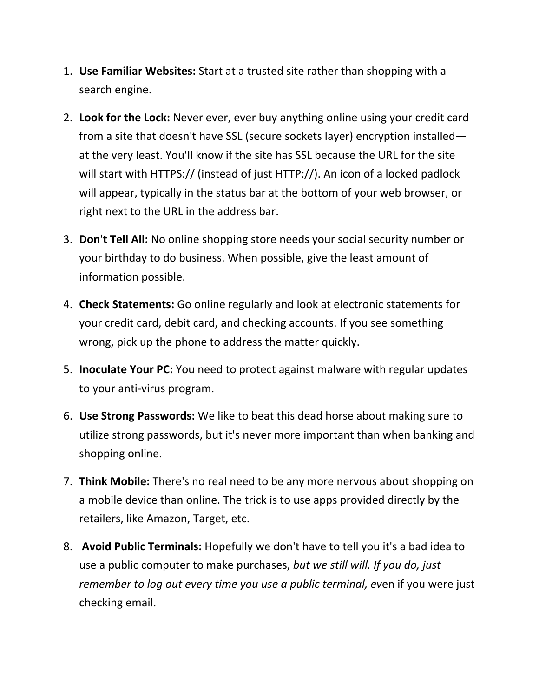- 1. **Use Familiar Websites:** Start at a trusted site rather than shopping with a search engine.
- 2. **Look for the Lock:** Never ever, ever buy anything online using your credit card from a site that doesn't have SSL (secure sockets layer) encryption installed at the very least. You'll know if the site has SSL because the URL for the site will start with HTTPS:// (instead of just HTTP://). An icon of a locked padlock will appear, typically in the status bar at the bottom of your web browser, or right next to the URL in the address bar.
- 3. **Don't Tell All:** No online shopping store needs your social security number or your birthday to do business. When possible, give the least amount of information possible.
- 4. **Check Statements:** Go online regularly and look at electronic statements for your credit card, debit card, and checking accounts. If you see something wrong, pick up the phone to address the matter quickly.
- 5. **Inoculate Your PC:** You need to protect against malware with regular updates to your anti-virus program.
- 6. **Use Strong Passwords:** We like to beat this dead horse about making sure to utilize strong passwords, but it's never more important than when banking and shopping online.
- 7. **Think Mobile:** There's no real need to be any more nervous about shopping on a mobile device than online. The trick is to use apps provided directly by the retailers, like Amazon, Target, etc.
- 8. **Avoid Public Terminals:** Hopefully we don't have to tell you it's a bad idea to use a public computer to make purchases, *but we still will. If you do, just remember to log out every time you use a public terminal, ev*en if you were just checking email.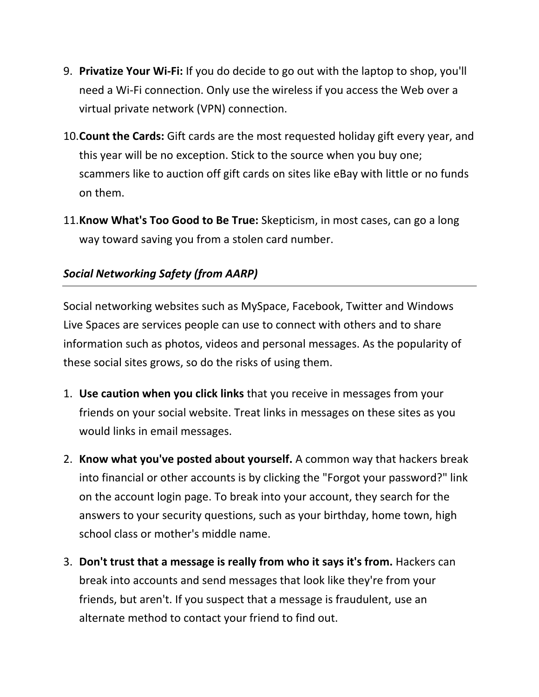- 9. **Privatize Your Wi-Fi:** If you do decide to go out with the laptop to shop, you'll need a Wi-Fi connection. Only use the wireless if you access the Web over a virtual private network (VPN) connection.
- 10.**Count the Cards:** Gift cards are the most requested holiday gift every year, and this year will be no exception. Stick to the source when you buy one; scammers like to auction off gift cards on sites like eBay with little or no funds on them.
- 11.**Know What's Too Good to Be True:** Skepticism, in most cases, can go a long way toward saving you from a stolen card number.

### *Social Networking Safety (from AARP)*

Social networking websites such as MySpace, Facebook, Twitter and Windows Live Spaces are services people can use to connect with others and to share information such as photos, videos and personal messages. As the popularity of these social sites grows, so do the risks of using them.

- 1. **Use caution when you click links** that you receive in messages from your friends on your social website. Treat links in messages on these sites as you would links in email messages.
- 2. **Know what you've posted about yourself.** A common way that hackers break into financial or other accounts is by clicking the "Forgot your password?" link on the account login page. To break into your account, they search for the answers to your security questions, such as your birthday, home town, high school class or mother's middle name.
- 3. **Don't trust that a message is really from who it says it's from.** Hackers can break into accounts and send messages that look like they're from your friends, but aren't. If you suspect that a message is fraudulent, use an alternate method to contact your friend to find out.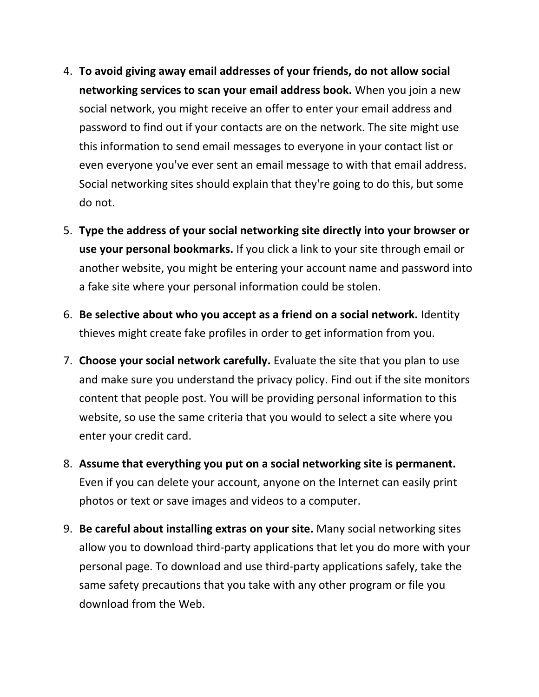- 4. **To avoid giving away email addresses of your friends, do not allow social networking services to scan your email address book.** When you join a new social network, you might receive an offer to enter your email address and password to find out if your contacts are on the network. The site might use this information to send email messages to everyone in your contact list or even everyone you've ever sent an email message to with that email address. Social networking sites should explain that they're going to do this, but some do not.
- 5. **Type the address of your social networking site directly into your browser or use your personal bookmarks.** If you click a link to your site through email or another website, you might be entering your account name and password into a fake site where your personal information could be stolen.
- 6. **Be selective about who you accept as a friend on a social network.** Identity thieves might create fake profiles in order to get information from you.
- 7. **Choose your social network carefully.** Evaluate the site that you plan to use and make sure you understand the privacy policy. Find out if the site monitors content that people post. You will be providing personal information to this website, so use the same criteria that you would to select a site where you enter your credit card.
- 8. **Assume that everything you put on a social networking site is permanent.** Even if you can delete your account, anyone on the Internet can easily print photos or text or save images and videos to a computer.
- 9. **Be careful about installing extras on your site.** Many social networking sites allow you to download third-party applications that let you do more with your personal page. To download and use third-party applications safely, take the same safety precautions that you take with any other program or file you download from the Web.